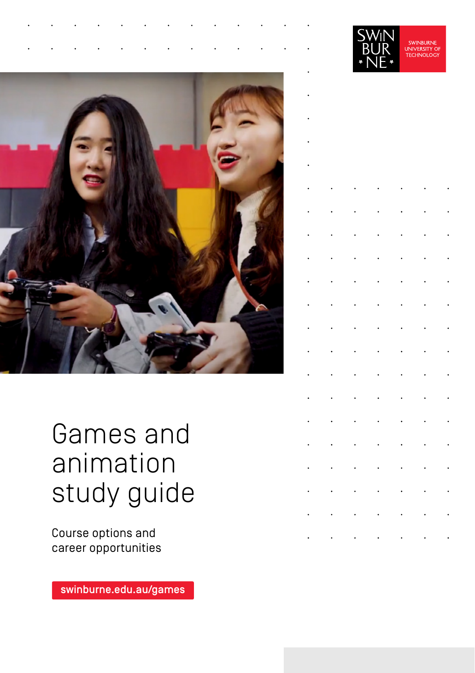

## Games and animation study guide

Course options and career opportunities

[swinburne.edu.au/games](https://www.swinburne.edu.au/courses/find-a-course/games-animation/?utm_campaign=study-areas&utm_source=short-url&utm_medium=short-url)

|  | $\frac{1}{2}$<br>I<br>Ì<br>ş.<br>ŕ | 'i<br>R<br>J<br>Ì<br>I<br>Ņ | SWINBURNE<br>UNIVERSITY OF<br>TECHNOLOGY |  |
|--|------------------------------------|-----------------------------|------------------------------------------|--|
|  |                                    |                             |                                          |  |
|  |                                    |                             |                                          |  |
|  |                                    |                             |                                          |  |
|  |                                    |                             |                                          |  |
|  |                                    |                             |                                          |  |
|  |                                    |                             |                                          |  |
|  |                                    |                             |                                          |  |
|  |                                    |                             |                                          |  |
|  |                                    |                             |                                          |  |
|  |                                    |                             |                                          |  |
|  |                                    |                             |                                          |  |
|  |                                    |                             |                                          |  |
|  |                                    |                             |                                          |  |
|  |                                    |                             |                                          |  |
|  |                                    |                             |                                          |  |
|  |                                    |                             |                                          |  |
|  |                                    |                             |                                          |  |
|  |                                    |                             |                                          |  |
|  |                                    |                             |                                          |  |
|  |                                    |                             |                                          |  |

**CIA/INI**